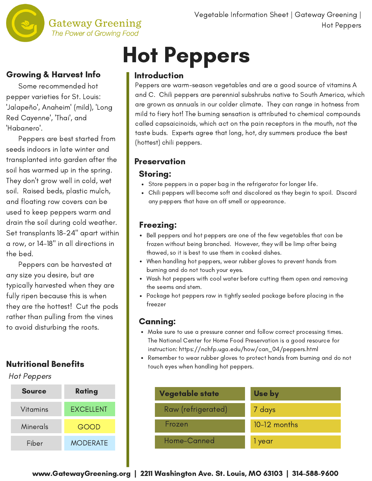

## Hot Peppers

#### Growing & Harvest Info

Some recommended hot pepper varieties for St. Louis: 'Jalapeño', Anaheim' (mild), 'Long Red Cayenne', 'Thai', and 'Habanero'.

Peppers are best started from seeds indoors in late winter and transplanted into garden after the soil has warmed up in the spring. They don't grow well in cold, wet soil. Raised beds, plastic mulch, and floating row covers can be used to keep peppers warm and drain the soil during cold weather. Set transplants 18-24" apart within a row, or 14-18" in all directions in the bed.

Peppers can be harvested at any size you desire, but are typically harvested when they are fully ripen because this is when they are the hottest! Cut the pods rather than pulling from the vines to avoid disturbing the roots.

#### Nutritional Benefits

Hot Peppers

| <b>Source</b> | Rating           |
|---------------|------------------|
| Vitamins      | <b>EXCELLENT</b> |
| Minerals      | GOOD             |
| Fiber         | <b>MODERATE</b>  |

#### Introduction

Peppers are warm-season vegetables and are a good source of vitamins A and C. Chili peppers are perennial subshrubs native to South America, which are grown as annuals in our colder climate. They can range in hotness from mild to fiery hot! The burning sensation is attributed to chemical compounds called capsaicinoids, which act on the pain receptors in the mouth, not the taste buds. Experts agree that long, hot, dry summers produce the best (hottest) chili peppers.

#### **Preservation**

#### Storing:

- Store peppers in a paper bag in the refrigerator for longer life.
- Chili peppers will become soft and discolored as they begin to spoil. Discard any peppers that have an off smell or appearance.

#### Freezing:

- Bell peppers and hot peppers are one of the few vegetables that can be frozen without being branched. However, they will be limp after being thawed, so it is best to use them in cooked dishes.
- When handling hot peppers, wear rubber gloves to prevent hands from burning and do not touch your eyes.
- Wash hot peppers with cool water before cutting them open and removing the seems and stem.
- Package hot peppers raw in tightly sealed package before placing in the freezer

#### Canning:

- Make sure to use a pressure canner and follow correct processing times. The National Center for Home Food Preservation is a good resource for instruction: https://nchfp.uga.edu/how/can\_04/peppers.html
- Remember to wear rubber gloves to protect hands from burning and do not touch eyes when handling hot peppers.